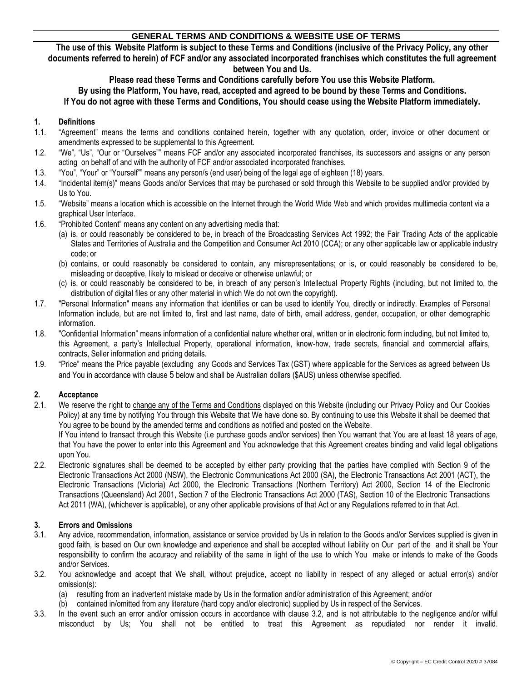The use of this Website Platform is subject to these Terms and Conditions (inclusive of the Privacy Policy, any other documents referred to herein) of FCF and/or any associated incorporated franchises which constitutes the full agreement **between You and Us.**

# **Please read these Terms and Conditions carefully before You use this Website Platform.**

By using the Platform, You have, read, accepted and agreed to be bound by these Terms and Conditions.

If You do not agree with these Terms and Conditions, You should cease using the Website Platform immediately.

### **1. Definitions**

- 1.1. "Agreement" means the terms and conditions contained herein, together with any quotation, order, invoice or other document or amendments expressed to be supplemental to this Agreement.
- 1.2. "We", "Us", "Our or "Ourselves"" means FCF and/or any associated incorporated franchises, its successors and assigns or any person acting on behalf of and with the authority of FCF and/or associated incorporated franchises.
- 1.3. "You", "Your" or "Yourself"" means any person/s (end user) being of the legal age of eighteen (18) years.
- 1.4. "Incidental item(s)" means Goods and/or Services that may be purchased or sold through this Website to be supplied and/or provided by Us to You.
- 1.5. "Website" means a location which is accessible on the Internet through the World Wide Web and which provides multimedia content via a graphical User Interface.
- 1.6. "Prohibited Content" means any content on any advertising media that:
	- (a) is, or could reasonably be considered to be, in breach of the Broadcasting Services Act 1992; the Fair Trading Acts of the applicable States and Territories of Australia and the Competition and Consumer Act 2010 (CCA); or any other applicable law or applicable industry code; or
	- (b) contains, or could reasonably be considered to contain, any misrepresentations; or is, or could reasonably be considered to be, misleading or deceptive, likely to mislead or deceive or otherwise unlawful; or
	- (c) is, or could reasonably be considered to be, in breach of any person's Intellectual Property Rights (including, but not limited to, the distribution of digital files or any other material in which We do not own the copyright).
- 1.7. "Personal Information" means any information that identifies or can be used to identify You, directly or indirectly. Examples of Personal Information include, but are not limited to, first and last name, date of birth, email address, gender, occupation, or other demographic information.
- 1.8. "Confidential Information" means information of a confidential nature whether oral, written or in electronic form including, but not limited to, this Agreement, a party's Intellectual Property, operational information, know-how, trade secrets, financial and commercial affairs, contracts, Seller information and pricing details.
- 1.9. "Price" means the Price payable (excluding any Goods and Services Tax (GST) where applicable for the Services as agreed between Us and You in accordance with clause [5](#page-1-0) below and shall be Australian dollars (\$AUS) unless otherwise specified.

### **2. Acceptance**

2.1. We reserve the right to change any of the Terms and Conditions displayed on this Website (including our Privacy Policy and Our Cookies Policy) at any time by notifying You through this Website that We have done so. By continuing to use this Website it shall be deemed that You agree to be bound by the amended terms and conditions as notified and posted on the Website.

If You intend to transact through this Website (i.e purchase goods and/or services) then You warrant that You are at least 18 years of age, that You have the power to enter into this Agreement and You acknowledge that this Agreement creates binding and valid legal obligations upon You.

2.2. Electronic signatures shall be deemed to be accepted by either party providing that the parties have complied with Section 9 of the Electronic Transactions Act 2000 (NSW), the Electronic Communications Act 2000 (SA), the Electronic Transactions Act 2001 (ACT), the Electronic Transactions (Victoria) Act 2000, the Electronic Transactions (Northern Territory) Act 2000, Section 14 of the Electronic Transactions (Queensland) Act 2001, Section 7 of the Electronic Transactions Act 2000 (TAS), Section 10 of the Electronic Transactions Act 2011 (WA), (whichever is applicable), or any other applicable provisions of that Act or any Regulations referred to in that Act.

### **3. Errors and Omissions**

- 3.1. Any advice, recommendation, information, assistance or service provided by Us in relation to the Goods and/or Services supplied is given in good faith, is based on Our own knowledge and experience and shall be accepted without liability on Our part of the and it shall be Your responsibility to confirm the accuracy and reliability of the same in light of the use to which You make or intends to make of the Goods and/or Services.
- 3.2. You acknowledge and accept that We shall, without prejudice, accept no liability in respect of any alleged or actual error(s) and/or omission(s):
	- (a) resulting from an inadvertent mistake made by Us in the formation and/or administration of this Agreement; and/or
	- (b) contained in/omitted from any literature (hard copy and/or electronic) supplied by Us in respect of the Services.
- 3.3. In the event such an error and/or omission occurs in accordance with clause 3.2, and is not attributable to the negligence and/or wilful misconduct by Us; You shall not be entitled to treat this Agreement as repudiated nor render it invalid.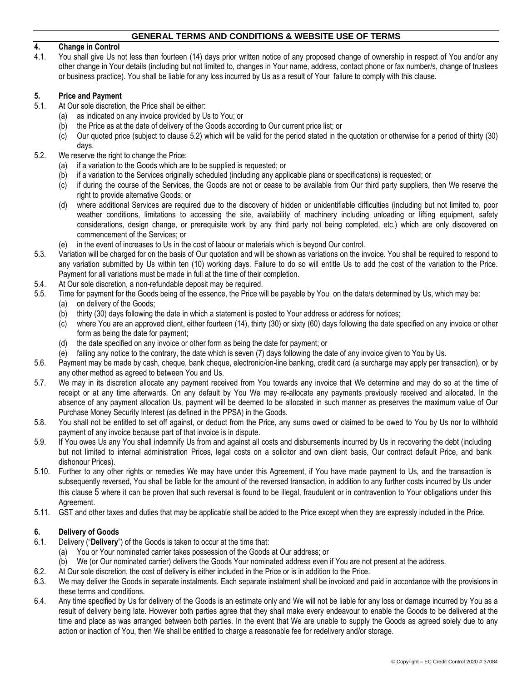### **4. Change in Control**

4.1. You shall give Us not less than fourteen (14) days prior written notice of any proposed change of ownership in respect of You and/or any other change in Your details (including but not limited to, changes in Your name, address, contact phone or fax number/s, change of trustees or business practice). You shall be liable for any loss incurred by Us as a result of Your failure to comply with this clause.

### <span id="page-1-0"></span>**5. Price and Payment**

- 5.1. At Our sole discretion, the Price shall be either:
	- as indicated on any invoice provided by Us to You; or
	- (b) the Price as at the date of delivery of the Goods according to Our current price list; or
	- (c) Our quoted price (subject to clause [5.2\)](#page-1-1) which will be valid for the period stated in the quotation or otherwise for a period of thirty (30) days.
- <span id="page-1-1"></span>5.2. We reserve the right to change the Price:
	- (a) if a variation to the Goods which are to be supplied is requested; or
	- (b) if a variation to the Services originally scheduled (including any applicable plans or specifications) is requested; or
	- (c) if during the course of the Services, the Goods are not or cease to be available from Our third party suppliers, then We reserve the right to provide alternative Goods; or
	- (d) where additional Services are required due to the discovery of hidden or unidentifiable difficulties (including but not limited to, poor weather conditions, limitations to accessing the site, availability of machinery including unloading or lifting equipment, safety considerations, design change, or prerequisite work by any third party not being completed, etc.) which are only discovered on commencement of the Services; or
	- (e) in the event of increases to Us in the cost of labour or materials which is beyond Our control.
- 5.3. Variation will be charged for on the basis of Our quotation and will be shown as variations on the invoice. You shall be required to respond to any variation submitted by Us within ten (10) working days. Failure to do so will entitle Us to add the cost of the variation to the Price. Payment for all variations must be made in full at the time of their completion.
- 5.4. At Our sole discretion, a non-refundable deposit may be required.
- 5.5. Time for payment for the Goods being of the essence, the Price will be payable by You on the date/s determined by Us, which may be:
	- (a) on delivery of the Goods;
	- (b) thirty (30) days following the date in which a statement is posted to Your address or address for notices;
	- (c) where You are an approved client, either fourteen (14), thirty (30) or sixty (60) days following the date specified on any invoice or other form as being the date for payment;
	- (d) the date specified on any invoice or other form as being the date for payment; or
	- (e) failing any notice to the contrary, the date which is seven (7) days following the date of any invoice given to You by Us.
- 5.6. Payment may be made by cash, cheque, bank cheque, electronic/on-line banking, credit card (a surcharge may apply per transaction), or by any other method as agreed to between You and Us.
- 5.7. We may in its discretion allocate any payment received from You towards any invoice that We determine and may do so at the time of receipt or at any time afterwards. On any default by You We may re-allocate any payments previously received and allocated. In the absence of any payment allocation Us, payment will be deemed to be allocated in such manner as preserves the maximum value of Our Purchase Money Security Interest (as defined in the PPSA) in the Goods.
- 5.8. You shall not be entitled to set off against, or deduct from the Price, any sums owed or claimed to be owed to You by Us nor to withhold payment of any invoice because part of that invoice is in dispute.
- 5.9. If You owes Us any You shall indemnify Us from and against all costs and disbursements incurred by Us in recovering the debt (including but not limited to internal administration Prices, legal costs on a solicitor and own client basis, Our contract default Price, and bank dishonour Prices).
- 5.10. Further to any other rights or remedies We may have under this Agreement, if You have made payment to Us, and the transaction is subsequently reversed, You shall be liable for the amount of the reversed transaction, in addition to any further costs incurred by Us under this clause [5](#page-1-0) where it can be proven that such reversal is found to be illegal, fraudulent or in contravention to Your obligations under this Agreement.
- 5.11. GST and other taxes and duties that may be applicable shall be added to the Price except when they are expressly included in the Price.

## **6. Delivery of Goods**

- 6.1. Delivery ("**Delivery**") of the Goods is taken to occur at the time that:
	- (a) You or Your nominated carrier takes possession of the Goods at Our address; or
	- (b) We (or Our nominated carrier) delivers the Goods Your nominated address even if You are not present at the address.
- 6.2. At Our sole discretion, the cost of delivery is either included in the Price or is in addition to the Price.
- 6.3. We may deliver the Goods in separate instalments. Each separate instalment shall be invoiced and paid in accordance with the provisions in these terms and conditions.
- 6.4. Any time specified by Us for delivery of the Goods is an estimate only and We will not be liable for any loss or damage incurred by You as a result of delivery being late. However both parties agree that they shall make every endeavour to enable the Goods to be delivered at the time and place as was arranged between both parties. In the event that We are unable to supply the Goods as agreed solely due to any action or inaction of You, then We shall be entitled to charge a reasonable fee for redelivery and/or storage.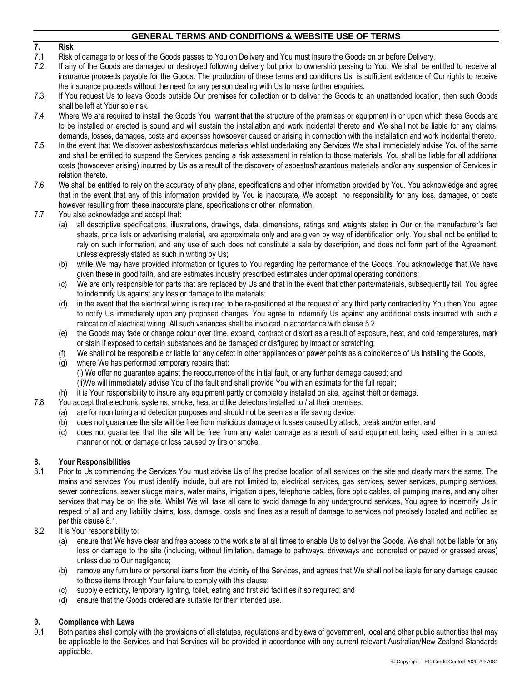# **7. Risk**

- 7.1. Risk of damage to or loss of the Goods passes to You on Delivery and You must insure the Goods on or before Delivery.
- 7.2. If any of the Goods are damaged or destroyed following delivery but prior to ownership passing to You, We shall be entitled to receive all insurance proceeds payable for the Goods. The production of these terms and conditions Us is sufficient evidence of Our rights to receive the insurance proceeds without the need for any person dealing with Us to make further enquiries.
- 7.3. If You request Us to leave Goods outside Our premises for collection or to deliver the Goods to an unattended location, then such Goods shall be left at Your sole risk.
- 7.4. Where We are required to install the Goods You warrant that the structure of the premises or equipment in or upon which these Goods are to be installed or erected is sound and will sustain the installation and work incidental thereto and We shall not be liable for any claims, demands, losses, damages, costs and expenses howsoever caused or arising in connection with the installation and work incidental thereto.
- 7.5. In the event that We discover asbestos/hazardous materials whilst undertaking any Services We shall immediately advise You of the same and shall be entitled to suspend the Services pending a risk assessment in relation to those materials. You shall be liable for all additional costs (howsoever arising) incurred by Us as a result of the discovery of asbestos/hazardous materials and/or any suspension of Services in relation thereto.
- 7.6. We shall be entitled to rely on the accuracy of any plans, specifications and other information provided by You. You acknowledge and agree that in the event that any of this information provided by You is inaccurate, We accept no responsibility for any loss, damages, or costs however resulting from these inaccurate plans, specifications or other information.
- 7.7. You also acknowledge and accept that:
	- (a) all descriptive specifications, illustrations, drawings, data, dimensions, ratings and weights stated in Our or the manufacturer's fact sheets, price lists or advertising material, are approximate only and are given by way of identification only. You shall not be entitled to rely on such information, and any use of such does not constitute a sale by description, and does not form part of the Agreement, unless expressly stated as such in writing by Us;
	- (b) while We may have provided information or figures to You regarding the performance of the Goods, You acknowledge that We have given these in good faith, and are estimates industry prescribed estimates under optimal operating conditions;
	- (c) We are only responsible for parts that are replaced by Us and that in the event that other parts/materials, subsequently fail, You agree to indemnify Us against any loss or damage to the materials;
	- (d) in the event that the electrical wiring is required to be re-positioned at the request of any third party contracted by You then You agree to notify Us immediately upon any proposed changes. You agree to indemnify Us against any additional costs incurred with such a relocation of electrical wiring. All such variances shall be invoiced in accordance with clause [5.2.](#page-1-1)
	- (e) the Goods may fade or change colour over time, expand, contract or distort as a result of exposure, heat, and cold temperatures, mark or stain if exposed to certain substances and be damaged or disfigured by impact or scratching;
	- (f) We shall not be responsible or liable for any defect in other appliances or power points as a coincidence of Us installing the Goods,
	- (g) where We has performed temporary repairs that:
		- (i) We offer no guarantee against the reoccurrence of the initial fault, or any further damage caused; and
		- (ii)We will immediately advise You of the fault and shall provide You with an estimate for the full repair;
	- it is Your responsibility to insure any equipment partly or completely installed on site, against theft or damage.
- 7.8. You accept that electronic systems, smoke, heat and like detectors installed to / at their premises:
	- (a) are for monitoring and detection purposes and should not be seen as a life saving device;
	- (b) does not guarantee the site will be free from malicious damage or losses caused by attack, break and/or enter; and
	- (c) does not guarantee that the site will be free from any water damage as a result of said equipment being used either in a correct manner or not, or damage or loss caused by fire or smoke.

## **8. Your Responsibilities**

- <span id="page-2-0"></span>8.1. Prior to Us commencing the Services You must advise Us of the precise location of all services on the site and clearly mark the same. The mains and services You must identify include, but are not limited to, electrical services, gas services, sewer services, pumping services, sewer connections, sewer sludge mains, water mains, irrigation pipes, telephone cables, fibre optic cables, oil pumping mains, and any other services that may be on the site. Whilst We will take all care to avoid damage to any underground services, You agree to indemnify Us in respect of all and any liability claims, loss, damage, costs and fines as a result of damage to services not precisely located and notified as per this clause [8.1.](#page-2-0)
- 8.2. It is Your responsibility to:
	- (a) ensure that We have clear and free access to the work site at all times to enable Us to deliver the Goods. We shall not be liable for any loss or damage to the site (including, without limitation, damage to pathways, driveways and concreted or paved or grassed areas) unless due to Our negligence;
	- (b) remove any furniture or personal items from the vicinity of the Services, and agrees that We shall not be liable for any damage caused to those items through Your failure to comply with this clause;
	- (c) supply electricity, temporary lighting, toilet, eating and first aid facilities if so required; and
	- (d) ensure that the Goods ordered are suitable for their intended use.

## **9. Compliance with Laws**

9.1. Both parties shall comply with the provisions of all statutes, regulations and bylaws of government, local and other public authorities that may be applicable to the Services and that Services will be provided in accordance with any current relevant Australian/New Zealand Standards applicable.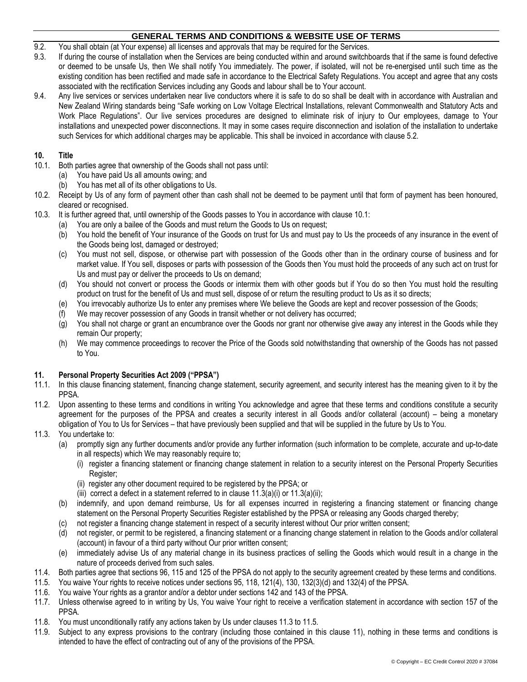- 9.2. You shall obtain (at Your expense) all licenses and approvals that may be required for the Services.
- 9.3. If during the course of installation when the Services are being conducted within and around switchboards that if the same is found defective or deemed to be unsafe Us, then We shall notify You immediately. The power, if isolated, will not be re-energised until such time as the existing condition has been rectified and made safe in accordance to the Electrical Safety Regulations. You accept and agree that any costs associated with the rectification Services including any Goods and labour shall be to Your account.
- 9.4. Any live services or services undertaken near live conductors where it is safe to do so shall be dealt with in accordance with Australian and New Zealand Wiring standards being "Safe working on Low Voltage Electrical Installations, relevant Commonwealth and Statutory Acts and Work Place Regulations". Our live services procedures are designed to eliminate risk of injury to Our employees, damage to Your installations and unexpected power disconnections. It may in some cases require disconnection and isolation of the installation to undertake such Services for which additional charges may be applicable. This shall be invoiced in accordance with clause [5.2.](#page-1-1)

### **10. Title**

- <span id="page-3-0"></span>10.1. Both parties agree that ownership of the Goods shall not pass until:
	- (a) You have paid Us all amounts owing; and
	- (b) You has met all of its other obligations to Us.
- 10.2. Receipt by Us of any form of payment other than cash shall not be deemed to be payment until that form of payment has been honoured, cleared or recognised.
- 10.3. It is further agreed that, until ownership of the Goods passes to You in accordance with clause [10.1:](#page-3-0)
	- (a) You are only a bailee of the Goods and must return the Goods to Us on request;
	- (b) You hold the benefit of Your insurance of the Goods on trust for Us and must pay to Us the proceeds of any insurance in the event of the Goods being lost, damaged or destroyed;
	- (c) You must not sell, dispose, or otherwise part with possession of the Goods other than in the ordinary course of business and for market value. If You sell, disposes or parts with possession of the Goods then You must hold the proceeds of any such act on trust for Us and must pay or deliver the proceeds to Us on demand;
	- (d) You should not convert or process the Goods or intermix them with other goods but if You do so then You must hold the resulting product on trust for the benefit of Us and must sell, dispose of or return the resulting product to Us as it so directs;
	- (e) You irrevocably authorize Us to enter any premises where We believe the Goods are kept and recover possession of the Goods;
	- (f) We may recover possession of any Goods in transit whether or not delivery has occurred;
	- (g) You shall not charge or grant an encumbrance over the Goods nor grant nor otherwise give away any interest in the Goods while they remain Our property;
	- (h) We may commence proceedings to recover the Price of the Goods sold notwithstanding that ownership of the Goods has not passed to You.

## <span id="page-3-6"></span>**11. Personal Property Securities Act 2009 ("PPSA")**

- 11.1. In this clause financing statement, financing change statement, security agreement, and security interest has the meaning given to it by the PPSA.
- 11.2. Upon assenting to these terms and conditions in writing You acknowledge and agree that these terms and conditions constitute a security agreement for the purposes of the PPSA and creates a security interest in all Goods and/or collateral (account) – being a monetary obligation of You to Us for Services – that have previously been supplied and that will be supplied in the future by Us to You.
- <span id="page-3-4"></span><span id="page-3-3"></span><span id="page-3-2"></span><span id="page-3-1"></span>11.3. You undertake to:
	- (a) promptly sign any further documents and/or provide any further information (such information to be complete, accurate and up-to-date in all respects) which We may reasonably require to;
		- (i) register a financing statement or financing change statement in relation to a security interest on the Personal Property Securities Register;
		- (ii) register any other document required to be registered by the PPSA; or
		- (iii) correct a defect in a statement referred to in clause  $11.3(a)(i)$  $11.3(a)(i)$  $11.3(a)(i)$  or  $11.3(a)(ii)$ ;
	- (b) indemnify, and upon demand reimburse, Us for all expenses incurred in registering a financing statement or financing change statement on the Personal Property Securities Register established by the PPSA or releasing any Goods charged thereby;
	- (c) not register a financing change statement in respect of a security interest without Our prior written consent;
	- (d) not register, or permit to be registered, a financing statement or a financing change statement in relation to the Goods and/or collateral (account) in favour of a third party without Our prior written consent;
	- (e) immediately advise Us of any material change in its business practices of selling the Goods which would result in a change in the nature of proceeds derived from such sales.
- 11.4. Both parties agree that sections 96, 115 and 125 of the PPSA do not apply to the security agreement created by these terms and conditions.
- <span id="page-3-5"></span>11.5. You waive Your rights to receive notices under sections 95, 118, 121(4), 130, 132(3)(d) and 132(4) of the PPSA.
- 11.6. You waive Your rights as a grantor and/or a debtor under sections 142 and 143 of the PPSA.
- 11.7. Unless otherwise agreed to in writing by Us, You waive Your right to receive a verification statement in accordance with section 157 of the PPSA.
- 11.8. You must unconditionally ratify any actions taken by Us under clauses [11.3](#page-3-1) to [11.5.](#page-3-5)
- 11.9. Subject to any express provisions to the contrary (including those contained in this clause [11\),](#page-3-6) nothing in these terms and conditions is intended to have the effect of contracting out of any of the provisions of the PPSA.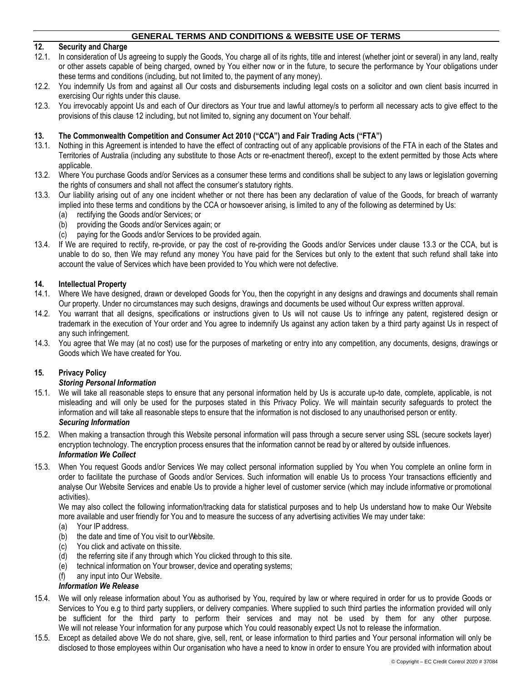# <span id="page-4-0"></span>**12. Security and Charge**

- 12.1. In consideration of Us agreeing to supply the Goods, You charge all of its rights, title and interest (whether joint or several) in any land, realty or other assets capable of being charged, owned by You either now or in the future, to secure the performance by Your obligations under these terms and conditions (including, but not limited to, the payment of any money).
- 12.2. You indemnify Us from and against all Our costs and disbursements including legal costs on a solicitor and own client basis incurred in exercising Our rights under this clause.
- 12.3. You irrevocably appoint Us and each of Our directors as Your true and lawful attorney/s to perform all necessary acts to give effect to the provisions of this clause [12](#page-4-0) including, but not limited to, signing any document on Your behalf.

### **13. The Commonwealth Competition and Consumer Act 2010 ("CCA") and Fair Trading Acts ("FTA")**

- 13.1. Nothing in this Agreement is intended to have the effect of contracting out of any applicable provisions of the FTA in each of the States and Territories of Australia (including any substitute to those Acts or re-enactment thereof), except to the extent permitted by those Acts where applicable.
- 13.2. Where You purchase Goods and/or Services as a consumer these terms and conditions shall be subject to any laws or legislation governing the rights of consumers and shall not affect the consumer's statutory rights.
- <span id="page-4-1"></span>13.3. Our liability arising out of any one incident whether or not there has been any declaration of value of the Goods, for breach of warranty implied into these terms and conditions by the CCA or howsoever arising, is limited to any of the following as determined by Us:
	- (a) rectifying the Goods and/or Services; or
	- (b) providing the Goods and/or Services again; or
	- (c) paying for the Goods and/or Services to be provided again.
- 13.4. If We are required to rectify, re-provide, or pay the cost of re-providing the Goods and/or Services under clause [13.3](#page-4-1) or the CCA, but is unable to do so, then We may refund any money You have paid for the Services but only to the extent that such refund shall take into account the value of Services which have been provided to You which were not defective.

#### **14. Intellectual Property**

- 14.1. Where We have designed, drawn or developed Goods for You, then the copyright in any designs and drawings and documents shall remain Our property. Under no circumstances may such designs, drawings and documents be used without Our express written approval.
- 14.2. You warrant that all designs, specifications or instructions given to Us will not cause Us to infringe any patent, registered design or trademark in the execution of Your order and You agree to indemnify Us against any action taken by a third party against Us in respect of any such infringement.
- 14.3. You agree that We may (at no cost) use for the purposes of marketing or entry into any competition, any documents, designs, drawings or Goods which We have created for You.

### **15. Privacy Policy**

#### *Storing Personal Information*

- 15.1. We will take all reasonable steps to ensure that any personal information held by Us is accurate up-to date, complete, applicable, is not misleading and will only be used for the purposes stated in this Privacy Policy. We will maintain security safeguards to protect the information and will take all reasonable steps to ensure that the information is not disclosed to any unauthorised person or entity. *Securing Information*
- 15.2. When making a transaction through this Website personal information will pass through a secure server using SSL (secure sockets layer) encryption technology. The encryption process ensures that the information cannot be read by or altered by outside influences. *Information We Collect*
- 15.3. When You request Goods and/or Services We may collect personal information supplied by You when You complete an online form in order to facilitate the purchase of Goods and/or Services. Such information will enable Us to process Your transactions efficiently and analyse Our Website Services and enable Us to provide a higher level of customer service (which may include informative or promotional activities).

We may also collect the following information/tracking data for statistical purposes and to help Us understand how to make Our Website more available and user friendly for You and to measure the success of any advertising activities We may under take:

- (a) Your IP address.
- (b) the date and time of You visit to ourWebsite.
- (c) You click and activate on thissite.
- (d) the referring site if any through which You clicked through to this site.
- (e) technical information on Your browser, device and operating systems;
- (f) any input into Our Website.

# *Information We Release*

- 15.4. We will only release information about You as authorised by You, required by law or where required in order for us to provide Goods or Services to You e.g to third party suppliers, or delivery companies. Where supplied to such third parties the information provided will only be sufficient for the third party to perform their services and may not be used by them for any other purpose. We will not release Your information for any purpose which You could reasonably expect Us not to release the information.
- 15.5. Except as detailed above We do not share, give, sell, rent, or lease information to third parties and Your personal information will only be disclosed to those employees within Our organisation who have a need to know in order to ensure You are provided with information about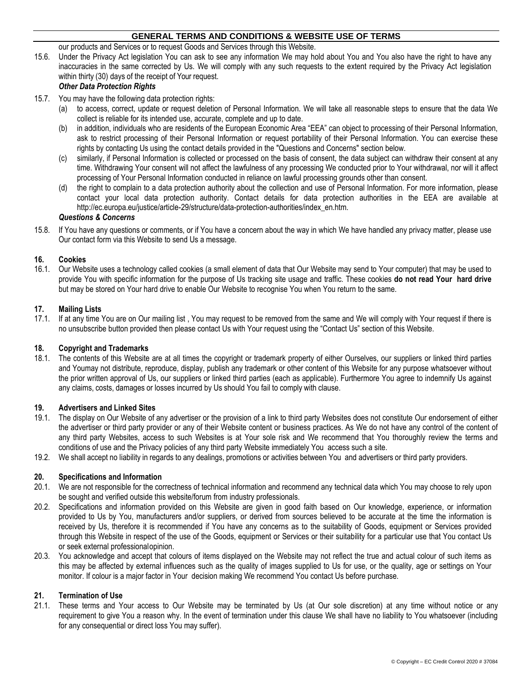our products and Services or to request Goods and Services through this Website.

15.6. Under the Privacy Act legislation You can ask to see any information We may hold about You and You also have the right to have any inaccuracies in the same corrected by Us. We will comply with any such requests to the extent required by the Privacy Act legislation within thirty (30) days of the receipt of Your request.

# *Other Data Protection Rights*

- 15.7. You may have the following data protection rights:
	- (a) to access, correct, update or request deletion of Personal Information. We will take all reasonable steps to ensure that the data We collect is reliable for its intended use, accurate, complete and up to date.
	- (b) in addition, individuals who are residents of the European Economic Area "EEA" can object to processing of their Personal Information, ask to restrict processing of their Personal Information or request portability of their Personal Information. You can exercise these rights by contacting Us using the contact details provided in the "Questions and Concerns" section below.
	- (c) similarly, if Personal Information is collected or processed on the basis of consent, the data subject can withdraw their consent at any time. Withdrawing Your consent will not affect the lawfulness of any processing We conducted prior to Your withdrawal, nor will it affect processing of Your Personal Information conducted in reliance on lawful processing grounds other than consent.
	- (d) the right to complain to a data protection authority about the collection and use of Personal Information. For more information, please contact your local data protection authority. Contact details for data protection authorities in the EEA are available at http://ec.europa.eu/justice/article-29/structure/data-protection-authorities/index\_en.htm.

### *Questions & Concerns*

15.8. If You have any questions or comments, or if You have a concern about the way in which We have handled any privacy matter, please use Our [contact](https://mailchimp.com/contact/) form via this Website to send Us a message.

### **16. Cookies**

16.1. Our Website uses a technology called cookies (a small element of data that Our Website may send to Your computer) that may be used to provide You with specific information for the purpose of Us tracking site usage and traffic. These cookies **do not read Your hard drive** but may be stored on Your hard drive to enable Our Website to recognise You when You return to the same.

### **17. Mailing Lists**

17.1. If at any time You are on Our mailing list , You may request to be removed from the same and We will comply with Your request if there is no unsubscribe button provided then please contact Us with Your request using the "Contact Us" section of this Website.

### **18. Copyright and Trademarks**

18.1. The contents of this Website are at all times the copyright or trademark property of either Ourselves, our suppliers or linked third parties and Youmay not distribute, reproduce, display, publish any trademark or other content of this Website for any purpose whatsoever without the prior written approval of Us, our suppliers or linked third parties (each as applicable). Furthermore You agree to indemnify Us against any claims, costs, damages or losses incurred by Us should You fail to comply with clause.

### **19. Advertisers and Linked Sites**

- 19.1. The display on Our Website of any advertiser or the provision of a link to third party Websites does not constitute Our endorsement of either the advertiser or third party provider or any of their Website content or business practices. As We do not have any control of the content of any third party Websites, access to such Websites is at Your sole risk and We recommend that You thoroughly review the terms and conditions of use and the Privacy policies of any third party Website immediately You access such a site.
- 19.2. We shall accept no liability in regards to any dealings, promotions or activities between You and advertisers or third party providers.

### **20. Specifications and Information**

- 20.1. We are not responsible for the correctness of technical information and recommend any technical data which You may choose to rely upon be sought and verified outside this website/forum from industry professionals.
- 20.2. Specifications and information provided on this Website are given in good faith based on Our knowledge, experience, or information provided to Us by You, manufacturers and/or suppliers, or derived from sources believed to be accurate at the time the information is received by Us, therefore it is recommended if You have any concerns as to the suitability of Goods, equipment or Services provided through this Website in respect of the use of the Goods, equipment or Services or their suitability for a particular use that You contact Us or seek external professionalopinion.
- 20.3. You acknowledge and accept that colours of items displayed on the Website may not reflect the true and actual colour of such items as this may be affected by external influences such as the quality of images supplied to Us for use, or the quality, age or settings on Your monitor. If colour is a major factor in Your decision making We recommend You contact Us before purchase.

### **21. Termination of Use**

21.1. These terms and Your access to Our Website may be terminated by Us (at Our sole discretion) at any time without notice or any requirement to give You a reason why. In the event of termination under this clause We shall have no liability to You whatsoever (including for any consequential or direct loss You may suffer).